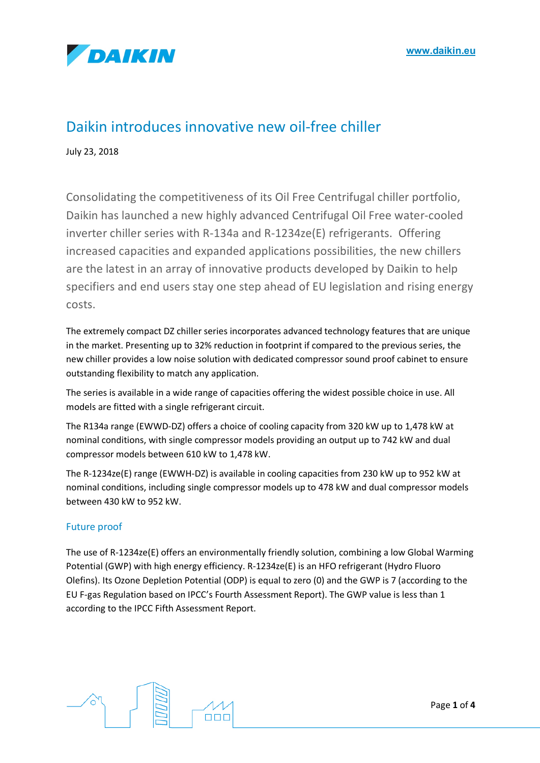

# Daikin introduces innovative new oil-free chiller

July 23, 2018

Consolidating the competitiveness of its Oil Free Centrifugal chiller portfolio, Daikin has launched a new highly advanced Centrifugal Oil Free water-cooled inverter chiller series with R-134a and R-1234ze(E) refrigerants. Offering increased capacities and expanded applications possibilities, the new chillers are the latest in an array of innovative products developed by Daikin to help specifiers and end users stay one step ahead of EU legislation and rising energy costs.

The extremely compact DZ chiller series incorporates advanced technology features that are unique in the market. Presenting up to 32% reduction in footprint if compared to the previous series, the new chiller provides a low noise solution with dedicated compressor sound proof cabinet to ensure outstanding flexibility to match any application.

The series is available in a wide range of capacities offering the widest possible choice in use. All models are fitted with a single refrigerant circuit.

The R134a range (EWWD-DZ) offers a choice of cooling capacity from 320 kW up to 1,478 kW at nominal conditions, with single compressor models providing an output up to 742 kW and dual compressor models between 610 kW to 1,478 kW.

The R-1234ze(E) range (EWWH-DZ) is available in cooling capacities from 230 kW up to 952 kW at nominal conditions, including single compressor models up to 478 kW and dual compressor models between 430 kW to 952 kW.

# Future proof

The use of R-1234ze(E) offers an environmentally friendly solution, combining a low Global Warming Potential (GWP) with high energy efficiency. R-1234ze(E) is an HFO refrigerant (Hydro Fluoro Olefins). Its Ozone Depletion Potential (ODP) is equal to zero (0) and the GWP is 7 (according to the EU F-gas Regulation based on IPCC's Fourth Assessment Report). The GWP value is less than 1 according to the IPCC Fifth Assessment Report.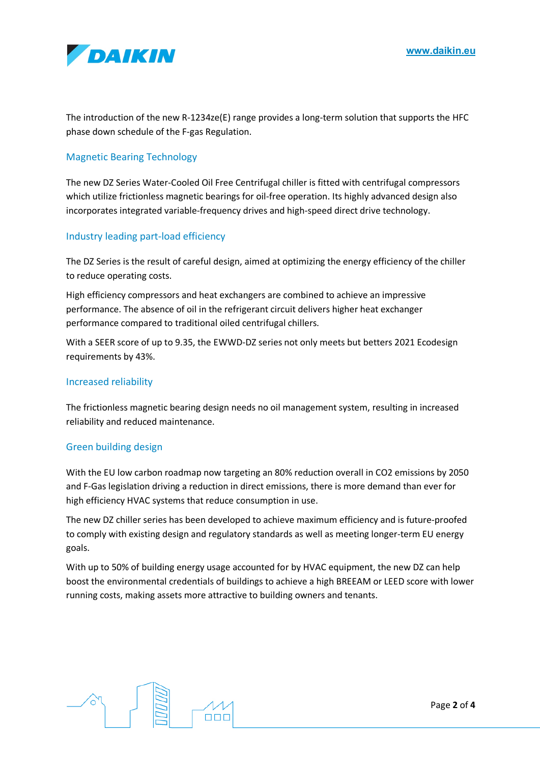

The introduction of the new R-1234ze(E) range provides a long-term solution that supports the HFC phase down schedule of the F-gas Regulation.

# Magnetic Bearing Technology

The new DZ Series Water-Cooled Oil Free Centrifugal chiller is fitted with centrifugal compressors which utilize frictionless magnetic bearings for oil-free operation. Its highly advanced design also incorporates integrated variable-frequency drives and high-speed direct drive technology.

# Industry leading part-load efficiency

The DZ Series is the result of careful design, aimed at optimizing the energy efficiency of the chiller to reduce operating costs.

High efficiency compressors and heat exchangers are combined to achieve an impressive performance. The absence of oil in the refrigerant circuit delivers higher heat exchanger performance compared to traditional oiled centrifugal chillers.

With a SEER score of up to 9.35, the EWWD-DZ series not only meets but betters 2021 Ecodesign requirements by 43%.

## Increased reliability

The frictionless magnetic bearing design needs no oil management system, resulting in increased reliability and reduced maintenance.

#### Green building design

With the EU low carbon roadmap now targeting an 80% reduction overall in CO2 emissions by 2050 and F-Gas legislation driving a reduction in direct emissions, there is more demand than ever for high efficiency HVAC systems that reduce consumption in use.

The new DZ chiller series has been developed to achieve maximum efficiency and is future-proofed to comply with existing design and regulatory standards as well as meeting longer-term EU energy goals.

With up to 50% of building energy usage accounted for by HVAC equipment, the new DZ can help boost the environmental credentials of buildings to achieve a high BREEAM or LEED score with lower running costs, making assets more attractive to building owners and tenants.

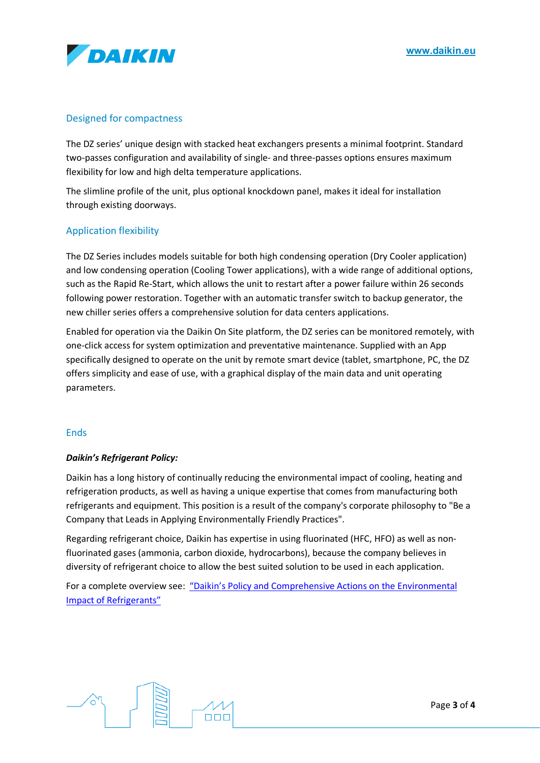

# Designed for compactness

The DZ series' unique design with stacked heat exchangers presents a minimal footprint. Standard two-passes configuration and availability of single- and three-passes options ensures maximum flexibility for low and high delta temperature applications.

The slimline profile of the unit, plus optional knockdown panel, makes it ideal for installation through existing doorways.

#### Application flexibility

The DZ Series includes models suitable for both high condensing operation (Dry Cooler application) and low condensing operation (Cooling Tower applications), with a wide range of additional options, such as the Rapid Re-Start, which allows the unit to restart after a power failure within 26 seconds following power restoration. Together with an automatic transfer switch to backup generator, the new chiller series offers a comprehensive solution for data centers applications.

Enabled for operation via the Daikin On Site platform, the DZ series can be monitored remotely, with one-click access for system optimization and preventative maintenance. Supplied with an App specifically designed to operate on the unit by remote smart device (tablet, smartphone, PC, the DZ offers simplicity and ease of use, with a graphical display of the main data and unit operating parameters.

#### **Ends**

#### *Daikin's Refrigerant Policy:*

Daikin has a long history of continually reducing the environmental impact of cooling, heating and refrigeration products, as well as having a unique expertise that comes from manufacturing both refrigerants and equipment. This position is a result of the company's corporate philosophy to "Be a Company that Leads in Applying Environmentally Friendly Practices".

Regarding refrigerant choice, Daikin has expertise in using fluorinated (HFC, HFO) as well as nonfluorinated gases (ammonia, carbon dioxide, hydrocarbons), because the company believes in diversity of refrigerant choice to allow the best suited solution to be used in each application.

For a complete overview see: "Daikin's Policy and Comprehensive Actions on the Environmental Impact of Refrigerants"